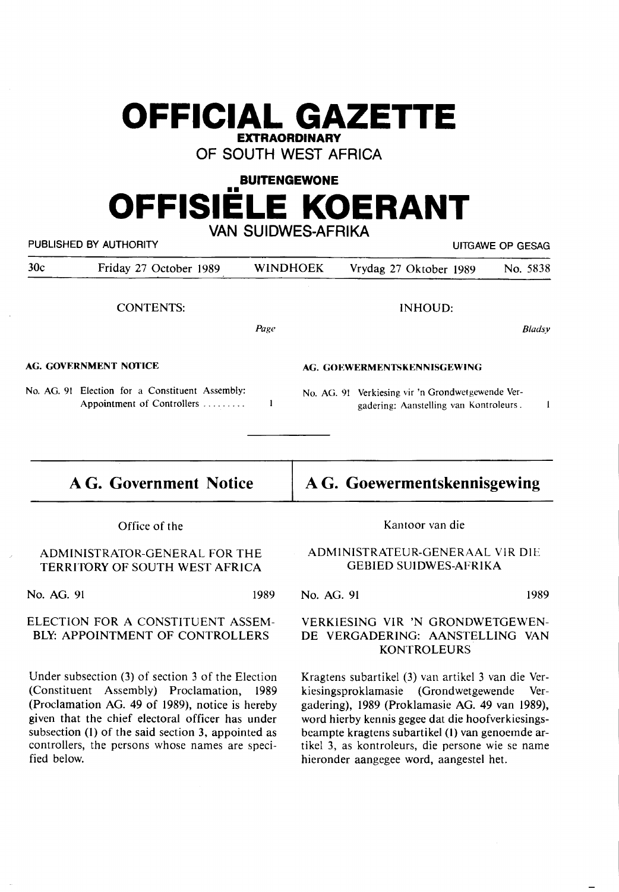## **OFFICIAL GAZETTE EXTRAORDINARY**

**OF SOUTH WEST AFRICA** 

## **BUITENGEWONE**  .. **OFFISIELE KOERANT VAN SUIDWES-AFRIKA**

| VAN SUILVVES-AFRINA<br>PUBLISHED BY AUTHORITY<br>UITGAWE OP GESAG                                                                                                                                                                                                                                                 |                                                                               |                 |                                                                                                                                                                                                                                                                                                                   |                                                                                             |  |               |  |
|-------------------------------------------------------------------------------------------------------------------------------------------------------------------------------------------------------------------------------------------------------------------------------------------------------------------|-------------------------------------------------------------------------------|-----------------|-------------------------------------------------------------------------------------------------------------------------------------------------------------------------------------------------------------------------------------------------------------------------------------------------------------------|---------------------------------------------------------------------------------------------|--|---------------|--|
| 30c                                                                                                                                                                                                                                                                                                               | Friday 27 October 1989                                                        | <b>WINDHOEK</b> |                                                                                                                                                                                                                                                                                                                   | Vrydag 27 Oktober 1989                                                                      |  | No. 5838      |  |
|                                                                                                                                                                                                                                                                                                                   | <b>CONTENTS:</b>                                                              |                 |                                                                                                                                                                                                                                                                                                                   | <b>INHOUD:</b>                                                                              |  |               |  |
|                                                                                                                                                                                                                                                                                                                   |                                                                               | Page            |                                                                                                                                                                                                                                                                                                                   |                                                                                             |  | <b>Bladsy</b> |  |
| AG. GOVERNMENT NOTICE                                                                                                                                                                                                                                                                                             |                                                                               |                 | AG. GOEWERMENTSKENNISGEWING                                                                                                                                                                                                                                                                                       |                                                                                             |  |               |  |
|                                                                                                                                                                                                                                                                                                                   | No. AG. 91 Election for a Constituent Assembly:<br>Appointment of Controllers | 1               |                                                                                                                                                                                                                                                                                                                   | No. AG. 91 Verkiesing vir 'n Grondwetgewende Ver-<br>gadering: Aanstelling van Kontroleurs. |  | $\mathbf{1}$  |  |
|                                                                                                                                                                                                                                                                                                                   | <b>A G. Government Notice</b>                                                 |                 |                                                                                                                                                                                                                                                                                                                   | A G. Goewermentskennisgewing                                                                |  |               |  |
|                                                                                                                                                                                                                                                                                                                   | Office of the                                                                 |                 |                                                                                                                                                                                                                                                                                                                   | Kantoor van die                                                                             |  |               |  |
|                                                                                                                                                                                                                                                                                                                   | ADMINISTRATOR-GENERAL FOR THE<br>TERRITORY OF SOUTH WEST AFRICA               |                 |                                                                                                                                                                                                                                                                                                                   | ADMINISTRATEUR-GENERAAL VIR DIE<br><b>GEBIED SUIDWES-AFRIKA</b>                             |  |               |  |
| No. AG. 91                                                                                                                                                                                                                                                                                                        |                                                                               | 1989            | No. AG. 91                                                                                                                                                                                                                                                                                                        |                                                                                             |  | 1989          |  |
| ELECTION FOR A CONSTITUENT ASSEM-<br>BLY: APPOINTMENT OF CONTROLLERS                                                                                                                                                                                                                                              |                                                                               |                 | VERKIESING VIR 'N GRONDWETGEWEN-<br>DE VERGADERING: AANSTELLING VAN<br><b>KONTROLEURS</b>                                                                                                                                                                                                                         |                                                                                             |  |               |  |
| Under subsection (3) of section 3 of the Election<br>(Constituent Assembly) Proclamation,<br>1989<br>(Proclamation AG. 49 of 1989), notice is hereby<br>given that the chief electoral officer has under<br>subsection (1) of the said section 3, appointed as<br>controllers, the persons whose names are speci- |                                                                               |                 | Kragtens subartikel (3) van artikel 3 van die Ver-<br>kiesingsproklamasie (Grondwetgewende<br>Ver-<br>gadering), 1989 (Proklamasie AG. 49 van 1989),<br>word hierby kennis gegee dat die hoofverkiesings-<br>beampte kragtens subartikel (1) van genoemde ar-<br>tikel 3, as kontroleurs, die persone wie se name |                                                                                             |  |               |  |

hieronder aangegee word, aangestel bet.

fied below.